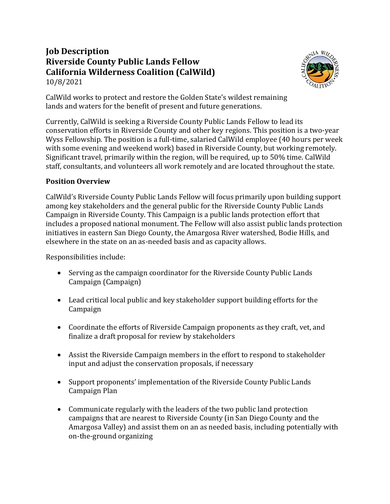## **Job Description Riverside County Public Lands Fellow California Wilderness Coalition (CalWild)** 10/8/2021



CalWild works to protect and restore the Golden State's wildest remaining lands and waters for the benefit of present and future generations.

Currently, CalWild is seeking a Riverside County Public Lands Fellow to lead its conservation efforts in Riverside County and other key regions. This position is a two-year Wyss Fellowship. The position is a full-time, salaried CalWild employee (40 hours per week with some evening and weekend work) based in Riverside County, but working remotely. Significant travel, primarily within the region, will be required, up to 50% time. CalWild staff, consultants, and volunteers all work remotely and are located throughout the state.

## **Position Overview**

CalWild's Riverside County Public Lands Fellow will focus primarily upon building support among key stakeholders and the general public for the Riverside County Public Lands Campaign in Riverside County. This Campaign is a public lands protection effort that includes a proposed national monument. The Fellow will also assist public lands protection initiatives in eastern San Diego County, the Amargosa River watershed, Bodie Hills, and elsewhere in the state on an as-needed basis and as capacity allows.

Responsibilities include:

- Serving as the campaign coordinator for the Riverside County Public Lands Campaign (Campaign)
- Lead critical local public and key stakeholder support building efforts for the Campaign
- Coordinate the efforts of Riverside Campaign proponents as they craft, vet, and finalize a draft proposal for review by stakeholders
- Assist the Riverside Campaign members in the effort to respond to stakeholder input and adjust the conservation proposals, if necessary
- Support proponents' implementation of the Riverside County Public Lands Campaign Plan
- Communicate regularly with the leaders of the two public land protection campaigns that are nearest to Riverside County (in San Diego County and the Amargosa Valley) and assist them on an as needed basis, including potentially with on-the-ground organizing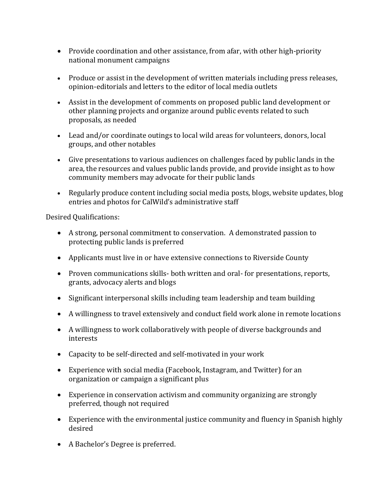- Provide coordination and other assistance, from afar, with other high-priority national monument campaigns
- Produce or assist in the development of written materials including press releases, opinion-editorials and letters to the editor of local media outlets
- Assist in the development of comments on proposed public land development or other planning projects and organize around public events related to such proposals, as needed
- Lead and/or coordinate outings to local wild areas for volunteers, donors, local groups, and other notables
- Give presentations to various audiences on challenges faced by public lands in the area, the resources and values public lands provide, and provide insight as to how community members may advocate for their public lands
- Regularly produce content including social media posts, blogs, website updates, blog entries and photos for CalWild's administrative staff

Desired Qualifications:

- A strong, personal commitment to conservation. A demonstrated passion to protecting public lands is preferred
- Applicants must live in or have extensive connections to Riverside County
- Proven communications skills- both written and oral- for presentations, reports, grants, advocacy alerts and blogs
- Significant interpersonal skills including team leadership and team building
- A willingness to travel extensively and conduct field work alone in remote locations
- A willingness to work collaboratively with people of diverse backgrounds and interests
- Capacity to be self-directed and self-motivated in your work
- Experience with social media (Facebook, Instagram, and Twitter) for an organization or campaign a significant plus
- Experience in conservation activism and community organizing are strongly preferred, though not required
- Experience with the environmental justice community and fluency in Spanish highly desired
- A Bachelor's Degree is preferred.